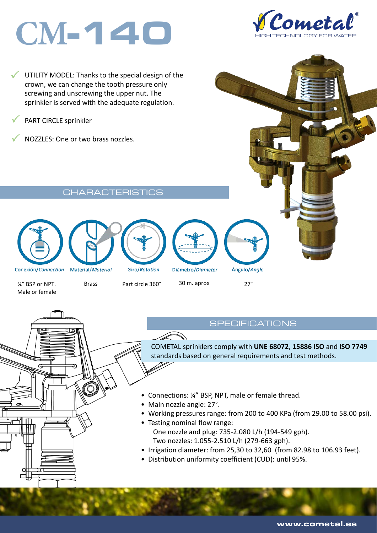# **CM**-140



 $\checkmark$ UTILITY MODEL: Thanks to the special design of the crown, we can change the tooth pressure only screwing and unscrewing the upper nut. The sprinkler is served with the adequate regulation.

 $\checkmark$ PART CIRCLE sprinkler

 $\checkmark$ NOZZLES: One or two brass nozzles.

CHARACTERISTICS





Iю









Ángulo/Angle

Male or female

## ¾" BSP or NPT. Brass Part circle 360° 30 m. aprox 27°

#### **SPECIFICATIONS**

COMETAL sprinklers comply with **UNE 68072**, **15886 ISO** and **ISO 7749**  standards based on general requirements and test methods.

- Connections: ¾" BSP, NPT, male or female thread.
- Main nozzle angle: 27°.
- Working pressures range: from 200 to 400 KPa (from 29.00 to 58.00 psi).
- Testing nominal flow range: One nozzle and plug: 735-2.080 L/h (194-549 gph). Two nozzles: 1.055-2.510 L/h (279-663 gph).
- Irrigation diameter: from 25,30 to 32,60 (from 82.98 to 106.93 feet).
- Distribution uniformity coefficient (CUD): until 95%.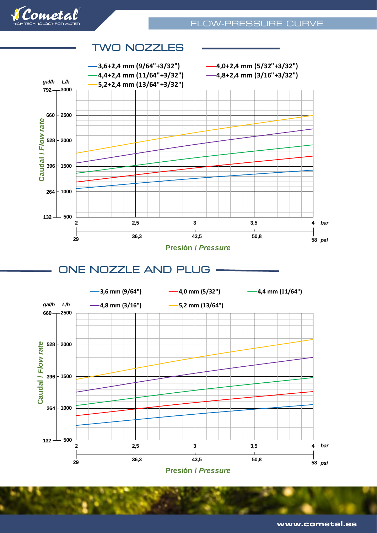



#### TWO NOZZLES

ONE NOZZLE AND PLUG